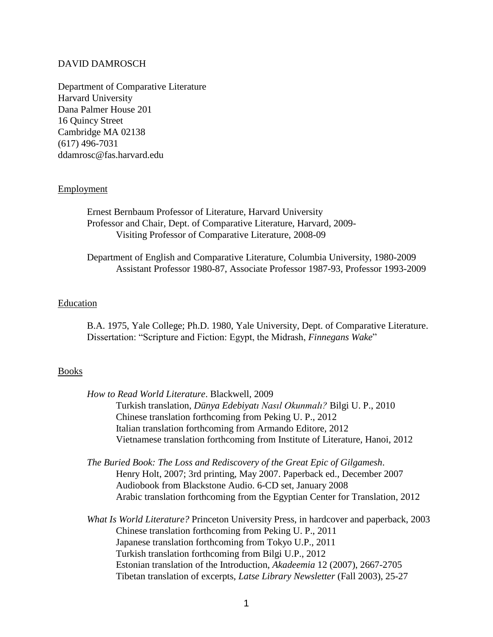## DAVID DAMROSCH

Department of Comparative Literature Harvard University Dana Palmer House 201 16 Quincy Street Cambridge MA 02138 (617) 496-7031 ddamrosc@fas.harvard.edu

### **Employment**

Ernest Bernbaum Professor of Literature, Harvard University Professor and Chair, Dept. of Comparative Literature, Harvard, 2009- Visiting Professor of Comparative Literature, 2008-09

Department of English and Comparative Literature, Columbia University, 1980-2009 Assistant Professor 1980-87, Associate Professor 1987-93, Professor 1993-2009

## Education

B.A. 1975, Yale College; Ph.D. 1980, Yale University, Dept. of Comparative Literature. Dissertation: "Scripture and Fiction: Egypt, the Midrash, *Finnegans Wake*"

### **Books**

| How to Read World Literature. Blackwell, 2009                                |
|------------------------------------------------------------------------------|
| Turkish translation, Dünya Edebiyatı Nasıl Okunmalı? Bilgi U. P., 2010       |
| Chinese translation forthcoming from Peking U. P., 2012                      |
| Italian translation forthcoming from Armando Editore, 2012                   |
| Vietnamese translation forthcoming from Institute of Literature, Hanoi, 2012 |
|                                                                              |
| The Buried Book: The Loss and Rediscovery of the Great Epic of Gilgamesh.    |

Henry Holt, 2007; 3rd printing, May 2007. Paperback ed., December 2007 Audiobook from Blackstone Audio. 6-CD set, January 2008 Arabic translation forthcoming from the Egyptian Center for Translation, 2012

*What Is World Literature?* Princeton University Press, in hardcover and paperback, 2003 Chinese translation forthcoming from Peking U. P., 2011 Japanese translation forthcoming from Tokyo U.P., 2011 Turkish translation forthcoming from Bilgi U.P., 2012 Estonian translation of the Introduction, *Akadeemia* 12 (2007), 2667-2705 Tibetan translation of excerpts, *Latse Library Newsletter* (Fall 2003), 25-27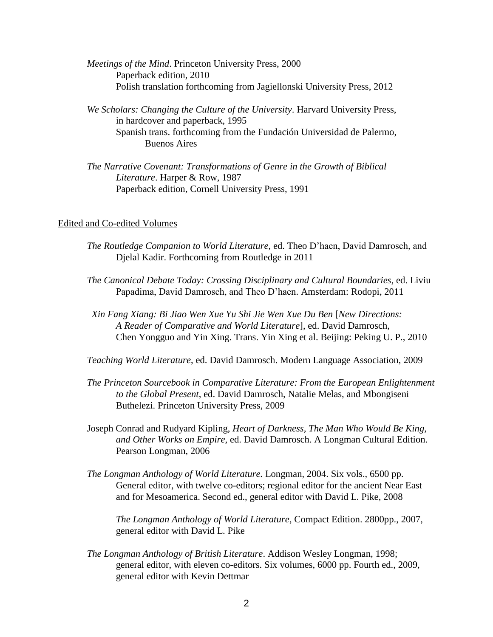- *Meetings of the Mind*. Princeton University Press, 2000 Paperback edition, 2010 Polish translation forthcoming from Jagiellonski University Press, 2012
- *We Scholars: Changing the Culture of the University*. Harvard University Press, in hardcover and paperback, 1995 Spanish trans. forthcoming from the Fundación Universidad de Palermo, Buenos Aires
- *The Narrative Covenant: Transformations of Genre in the Growth of Biblical Literature*. Harper & Row, 1987 Paperback edition, Cornell University Press, 1991

### Edited and Co-edited Volumes

- *The Routledge Companion to World Literature*, ed. Theo D"haen, David Damrosch, and Djelal Kadir. Forthcoming from Routledge in 2011
- *The Canonical Debate Today: Crossing Disciplinary and Cultural Boundaries*, ed. Liviu Papadima, David Damrosch, and Theo D"haen. Amsterdam: Rodopi, 2011
- *Xin Fang Xiang: Bi Jiao Wen Xue Yu Shi Jie Wen Xue Du Ben* [*New Directions: A Reader of Comparative and World Literature*], ed. David Damrosch, Chen Yongguo and Yin Xing. Trans. Yin Xing et al. Beijing: Peking U. P., 2010

*Teaching World Literature*, ed. David Damrosch. Modern Language Association, 2009

- *The Princeton Sourcebook in Comparative Literature: From the European Enlightenment to the Global Present*, ed. David Damrosch, Natalie Melas, and Mbongiseni Buthelezi. Princeton University Press, 2009
- Joseph Conrad and Rudyard Kipling, *Heart of Darkness, The Man Who Would Be King, and Other Works on Empire*, ed. David Damrosch. A Longman Cultural Edition. Pearson Longman, 2006
- *The Longman Anthology of World Literature.* Longman, 2004. Six vols., 6500 pp. General editor, with twelve co-editors; regional editor for the ancient Near East and for Mesoamerica. Second ed., general editor with David L. Pike, 2008

*The Longman Anthology of World Literature*, Compact Edition. 2800pp., 2007, general editor with David L. Pike

*The Longman Anthology of British Literature*. Addison Wesley Longman, 1998; general editor, with eleven co-editors. Six volumes, 6000 pp. Fourth ed., 2009, general editor with Kevin Dettmar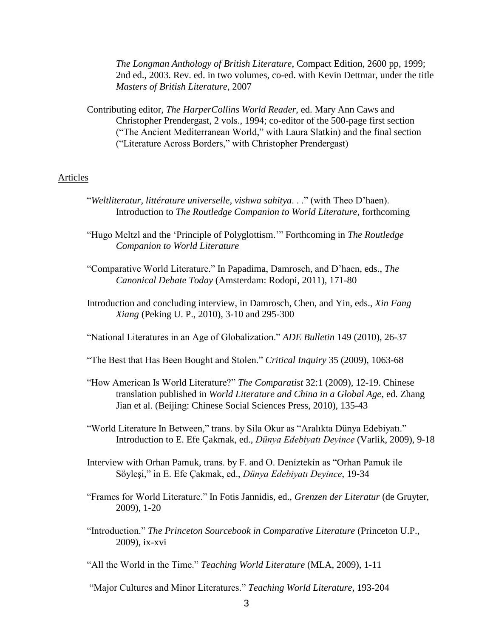*The Longman Anthology of British Literature*, Compact Edition, 2600 pp, 1999; 2nd ed., 2003. Rev. ed. in two volumes, co-ed. with Kevin Dettmar, under the title *Masters of British Literature*, 2007

Contributing editor, *The HarperCollins World Reader*, ed. Mary Ann Caws and Christopher Prendergast, 2 vols., 1994; co-editor of the 500-page first section ("The Ancient Mediterranean World," with Laura Slatkin) and the final section ("Literature Across Borders," with Christopher Prendergast)

# Articles

- "*Weltliteratur, littérature universelle, vishwa sahitya*. . ." (with Theo D"haen). Introduction to *The Routledge Companion to World Literature*, forthcoming
- "Hugo Meltzl and the "Principle of Polyglottism."" Forthcoming in *The Routledge Companion to World Literature*
- "Comparative World Literature." In Papadima, Damrosch, and D"haen, eds., *The Canonical Debate Today* (Amsterdam: Rodopi, 2011), 171-80
- Introduction and concluding interview, in Damrosch, Chen, and Yin, eds., *Xin Fang Xiang* (Peking U. P., 2010), 3-10 and 295-300

"National Literatures in an Age of Globalization." *ADE Bulletin* 149 (2010), 26-37

- "The Best that Has Been Bought and Stolen." *Critical Inquiry* 35 (2009), 1063-68
- "How American Is World Literature?" *The Comparatist* 32:1 (2009), 12-19. Chinese translation published in *World Literature and China in a Global Age*, ed. Zhang Jian et al. (Beijing: Chinese Social Sciences Press, 2010), 135-43
- "World Literature In Between," trans. by Sila Okur as "Aralıkta Dünya Edebiyatı." Introduction to E. Efe Çakmak, ed., *Dünya Edebiyatı Deyince* (Varlik, 2009), 9-18
- Interview with Orhan Pamuk, trans. by F. and O. Deníztekín as "Orhan Pamuk ile Söyleşi," in E. Efe Çakmak, ed., *Dünya Edebiyatı Deyince*, 19-34
- "Frames for World Literature." In Fotis Jannidis, ed., *Grenzen der Literatur* (de Gruyter, 2009), 1-20
- "Introduction." *The Princeton Sourcebook in Comparative Literature* (Princeton U.P., 2009), ix-xvi
- "All the World in the Time." *Teaching World Literature* (MLA, 2009), 1-11
- "Major Cultures and Minor Literatures." *Teaching World Literature*, 193-204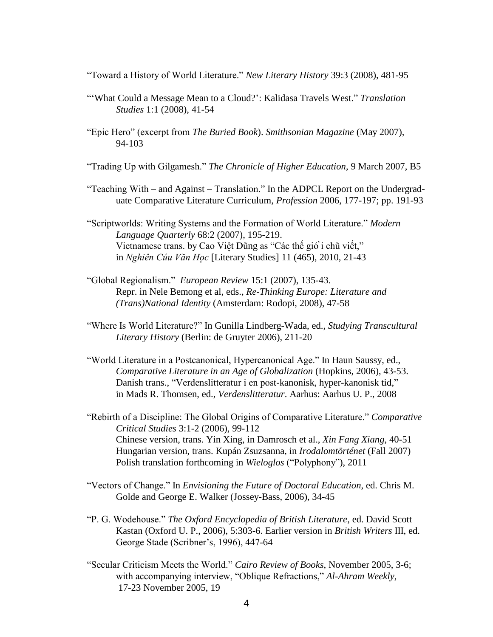"Toward a History of World Literature." *New Literary History* 39:3 (2008), 481-95

- ""What Could a Message Mean to a Cloud?": Kalidasa Travels West." *Translation Studies* 1:1 (2008), 41-54
- "Epic Hero" (excerpt from *The Buried Book*). *Smithsonian Magazine* (May 2007), 94-103

"Trading Up with Gilgamesh." *The Chronicle of Higher Education*, 9 March 2007, B5

"Teaching With – and Against – Translation." In the ADPCL Report on the Undergraduate Comparative Literature Curriculum, *Profession* 2006, 177-197; pp. 191-93

"Scriptworlds: Writing Systems and the Formation of World Literature." *Modern Language Quarterly* 68:2 (2007), 195-219. Vietnamese trans. by Cao Việt Dũng as "Các thế giố i chũ viết," in *Nghiên Cúu Văn Hoc* [Literary Studies] 11 (465), 2010, 21-43

- "Global Regionalism." *European Review* 15:1 (2007), 135-43. Repr. in Nele Bemong et al, eds., *Re-Thinking Europe: Literature and (Trans)National Identity* (Amsterdam: Rodopi, 2008), 47-58
- "Where Is World Literature?" In Gunilla Lindberg-Wada, ed., *Studying Transcultural Literary History* (Berlin: de Gruyter 2006), 211-20
- "World Literature in a Postcanonical, Hypercanonical Age." In Haun Saussy, ed., *Comparative Literature in an Age of Globalization* (Hopkins, 2006), 43-53. Danish trans., "Verdenslitteratur i en post-kanonisk, hyper-kanonisk tid," in Mads R. Thomsen, ed., *Verdenslitteratur*. Aarhus: Aarhus U. P., 2008
- "Rebirth of a Discipline: The Global Origins of Comparative Literature." *Comparative Critical Studies* 3:1-2 (2006), 99-112 Chinese version, trans. Yin Xing, in Damrosch et al., *Xin Fang Xiang*, 40-51 Hungarian version, trans. Kupán Zsuzsanna, in *Irodalomtörténet* (Fall 2007) Polish translation forthcoming in *Wieloglos* ("Polyphony"), 2011
- "Vectors of Change." In *Envisioning the Future of Doctoral Education*, ed. Chris M. Golde and George E. Walker (Jossey-Bass, 2006), 34-45
- "P. G. Wodehouse." *The Oxford Encyclopedia of British Literature*, ed. David Scott Kastan (Oxford U. P., 2006), 5:303-6. Earlier version in *British Writers* III, ed. George Stade (Scribner"s, 1996), 447-64
- "Secular Criticism Meets the World." *Cairo Review of Books*, November 2005, 3-6; with accompanying interview, "Oblique Refractions," *Al-Ahram Weekly*, 17-23 November 2005, 19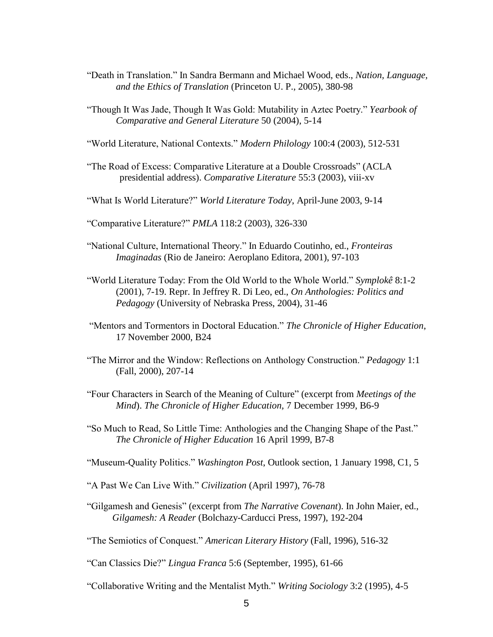- "Death in Translation." In Sandra Bermann and Michael Wood, eds., *Nation, Language, and the Ethics of Translation* (Princeton U. P., 2005), 380-98
- "Though It Was Jade, Though It Was Gold: Mutability in Aztec Poetry." *Yearbook of Comparative and General Literature* 50 (2004), 5-14
- "World Literature, National Contexts." *Modern Philology* 100:4 (2003), 512-531
- "The Road of Excess: Comparative Literature at a Double Crossroads" (ACLA presidential address). *Comparative Literature* 55:3 (2003), viii-xv
- "What Is World Literature?" *World Literature Today*, April-June 2003, 9-14

"Comparative Literature?" *PMLA* 118:2 (2003), 326-330

- "National Culture, International Theory." In Eduardo Coutinho, ed., *Fronteiras Imaginadas* (Rio de Janeiro: Aeroplano Editora, 2001), 97-103
- "World Literature Today: From the Old World to the Whole World." *Symplokê* 8:1-2 (2001), 7-19. Repr. In Jeffrey R. Di Leo, ed., *On Anthologies: Politics and Pedagogy* (University of Nebraska Press, 2004), 31-46
- "Mentors and Tormentors in Doctoral Education." *The Chronicle of Higher Education*, 17 November 2000, B24
- "The Mirror and the Window: Reflections on Anthology Construction." *Pedagogy* 1:1 (Fall, 2000), 207-14
- "Four Characters in Search of the Meaning of Culture" (excerpt from *Meetings of the Mind*). *The Chronicle of Higher Education,* 7 December 1999, B6-9
- "So Much to Read, So Little Time: Anthologies and the Changing Shape of the Past." *The Chronicle of Higher Education* 16 April 1999, B7-8

"Museum-Quality Politics." *Washington Post*, Outlook section, 1 January 1998, C1, 5

- "A Past We Can Live With." *Civilization* (April 1997), 76-78
- "Gilgamesh and Genesis" (excerpt from *The Narrative Covenant*). In John Maier, ed., *Gilgamesh: A Reader* (Bolchazy-Carducci Press, 1997), 192-204
- "The Semiotics of Conquest." *American Literary History* (Fall, 1996), 516-32
- "Can Classics Die?" *Lingua Franca* 5:6 (September, 1995), 61-66
- "Collaborative Writing and the Mentalist Myth." *Writing Sociology* 3:2 (1995), 4-5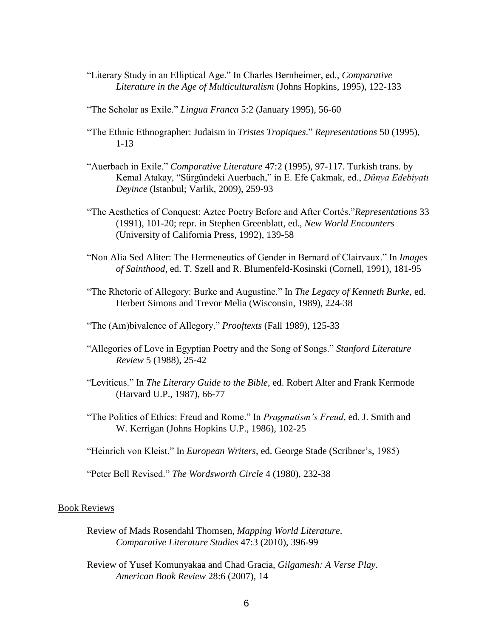"Literary Study in an Elliptical Age." In Charles Bernheimer, ed., *Comparative Literature in the Age of Multiculturalism* (Johns Hopkins, 1995), 122-133

"The Scholar as Exile." *Lingua Franca* 5:2 (January 1995), 56-60

- "The Ethnic Ethnographer: Judaism in *Tristes Tropiques*." *Representations* 50 (1995), 1-13
- "Auerbach in Exile." *Comparative Literature* 47:2 (1995), 97-117. Turkish trans. by Kemal Atakay, "Sürgündeki Auerbach," in E. Efe Çakmak, ed., *Dünya Edebiyatı Deyince* (Istanbul; Varlik, 2009), 259-93
- "The Aesthetics of Conquest: Aztec Poetry Before and After Cortés."*Representations* 33 (1991), 101-20; repr. in Stephen Greenblatt, ed., *New World Encounters* (University of California Press, 1992), 139-58
- "Non Alia Sed Aliter: The Hermeneutics of Gender in Bernard of Clairvaux." In *Images of Sainthood*, ed. T. Szell and R. Blumenfeld-Kosinski (Cornell, 1991), 181-95
- "The Rhetoric of Allegory: Burke and Augustine." In *The Legacy of Kenneth Burke*, ed. Herbert Simons and Trevor Melia (Wisconsin, 1989), 224-38
- "The (Am)bivalence of Allegory." *Prooftexts* (Fall 1989), 125-33
- "Allegories of Love in Egyptian Poetry and the Song of Songs." *Stanford Literature Review* 5 (1988), 25-42
- "Leviticus." In *The Literary Guide to the Bible*, ed. Robert Alter and Frank Kermode (Harvard U.P., 1987), 66-77
- "The Politics of Ethics: Freud and Rome." In *Pragmatism's Freud*, ed. J. Smith and W. Kerrigan (Johns Hopkins U.P., 1986), 102-25
- "Heinrich von Kleist." In *European Writers*, ed. George Stade (Scribner"s, 1985)

"Peter Bell Revised." *The Wordsworth Circle* 4 (1980), 232-38

#### Book Reviews

- Review of Mads Rosendahl Thomsen, *Mapping World Literature*. *Comparative Literature Studies* 47:3 (2010), 396-99
- Review of Yusef Komunyakaa and Chad Gracia, *Gilgamesh: A Verse Play*. *American Book Review* 28:6 (2007), 14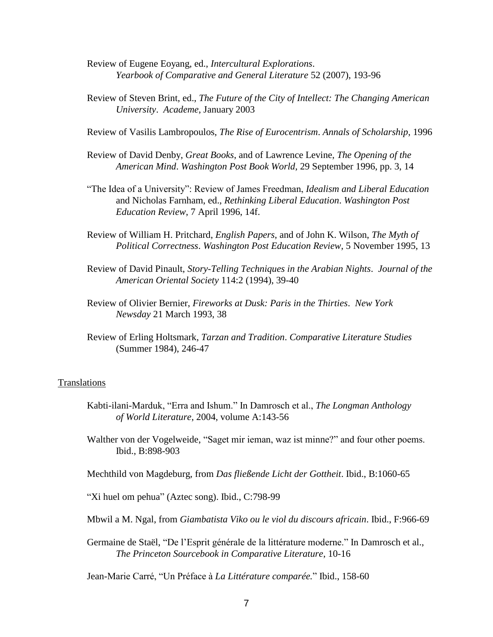- Review of Eugene Eoyang, ed., *Intercultural Explorations*. *Yearbook of Comparative and General Literature* 52 (2007), 193-96
- Review of Steven Brint, ed., *The Future of the City of Intellect: The Changing American University*. *Academe*, January 2003
- Review of Vasilis Lambropoulos, *The Rise of Eurocentrism*. *Annals of Scholarship*, 1996
- Review of David Denby, *Great Books*, and of Lawrence Levine, *The Opening of the American Mind*. *Washington Post Book World*, 29 September 1996, pp. 3, 14
- "The Idea of a University": Review of James Freedman, *Idealism and Liberal Education* and Nicholas Farnham, ed., *Rethinking Liberal Education*. *Washington Post Education Review*, 7 April 1996, 14f.
- Review of William H. Pritchard, *English Papers*, and of John K. Wilson, *The Myth of Political Correctness*. *Washington Post Education Review*, 5 November 1995, 13
- Review of David Pinault, *Story-Telling Techniques in the Arabian Nights*. *Journal of the American Oriental Society* 114:2 (1994), 39-40
- Review of Olivier Bernier, *Fireworks at Dusk: Paris in the Thirties*. *New York Newsday* 21 March 1993, 38
- Review of Erling Holtsmark, *Tarzan and Tradition*. *Comparative Literature Studies* (Summer 1984), 246-47

#### Translations

- Kabti-ilani-Marduk, "Erra and Ishum." In Damrosch et al., *The Longman Anthology of World Literature*, 2004, volume A:143-56
- Walther von der Vogelweide, "Saget mir ieman, waz ist minne?" and four other poems. Ibid., B:898-903

Mechthild von Magdeburg, from *Das fließende Licht der Gottheit*. Ibid., B:1060-65

"Xi huel om pehua" (Aztec song). Ibid., C:798-99

Mbwil a M. Ngal, from *Giambatista Viko ou le viol du discours africain*. Ibid., F:966-69

Germaine de Staël, "De l"Esprit générale de la littérature moderne." In Damrosch et al., *The Princeton Sourcebook in Comparative Literature*, 10-16

Jean-Marie Carré, "Un Préface à *La Littérature comparée.*" Ibid., 158-60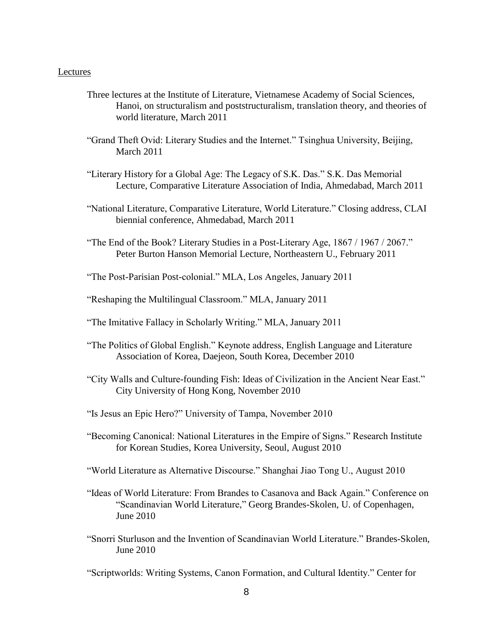### Lectures

- Three lectures at the Institute of Literature, Vietnamese Academy of Social Sciences, Hanoi, on structuralism and poststructuralism, translation theory, and theories of world literature, March 2011
- "Grand Theft Ovid: Literary Studies and the Internet." Tsinghua University, Beijing, March 2011
- "Literary History for a Global Age: The Legacy of S.K. Das." S.K. Das Memorial Lecture, Comparative Literature Association of India, Ahmedabad, March 2011
- "National Literature, Comparative Literature, World Literature." Closing address, CLAI biennial conference, Ahmedabad, March 2011
- "The End of the Book? Literary Studies in a Post-Literary Age, 1867 / 1967 / 2067." Peter Burton Hanson Memorial Lecture, Northeastern U., February 2011
- "The Post-Parisian Post-colonial." MLA, Los Angeles, January 2011
- "Reshaping the Multilingual Classroom." MLA, January 2011
- "The Imitative Fallacy in Scholarly Writing." MLA, January 2011
- "The Politics of Global English." Keynote address, English Language and Literature Association of Korea, Daejeon, South Korea, December 2010
- "City Walls and Culture-founding Fish: Ideas of Civilization in the Ancient Near East." City University of Hong Kong, November 2010
- "Is Jesus an Epic Hero?" University of Tampa, November 2010
- "Becoming Canonical: National Literatures in the Empire of Signs." Research Institute for Korean Studies, Korea University, Seoul, August 2010
- "World Literature as Alternative Discourse." Shanghai Jiao Tong U., August 2010
- "Ideas of World Literature: From Brandes to Casanova and Back Again." Conference on "Scandinavian World Literature," Georg Brandes-Skolen, U. of Copenhagen, June 2010
- "Snorri Sturluson and the Invention of Scandinavian World Literature." Brandes-Skolen, June 2010
- "Scriptworlds: Writing Systems, Canon Formation, and Cultural Identity." Center for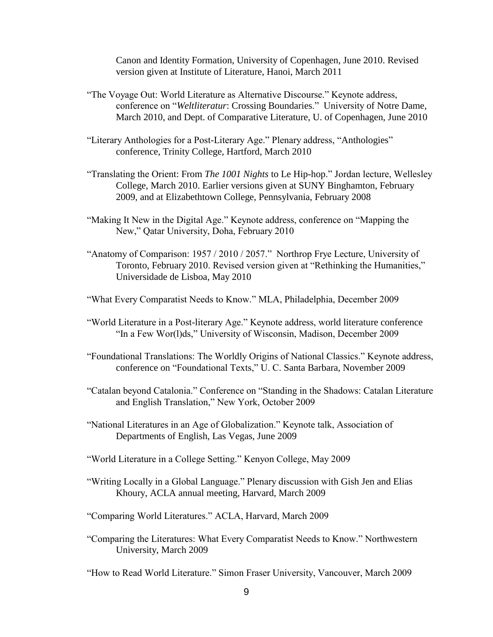Canon and Identity Formation, University of Copenhagen, June 2010. Revised version given at Institute of Literature, Hanoi, March 2011

- "The Voyage Out: World Literature as Alternative Discourse." Keynote address, conference on "*Weltliteratur*: Crossing Boundaries." University of Notre Dame, March 2010, and Dept. of Comparative Literature, U. of Copenhagen, June 2010
- "Literary Anthologies for a Post-Literary Age." Plenary address, "Anthologies" conference, Trinity College, Hartford, March 2010
- "Translating the Orient: From *The 1001 Nights* to Le Hip-hop." Jordan lecture, Wellesley College, March 2010. Earlier versions given at SUNY Binghamton, February 2009, and at Elizabethtown College, Pennsylvania, February 2008
- "Making It New in the Digital Age." Keynote address, conference on "Mapping the New," Qatar University, Doha, February 2010
- "Anatomy of Comparison: 1957 / 2010 / 2057." Northrop Frye Lecture, University of Toronto, February 2010. Revised version given at "Rethinking the Humanities," Universidade de Lisboa, May 2010
- "What Every Comparatist Needs to Know." MLA, Philadelphia, December 2009
- "World Literature in a Post-literary Age." Keynote address, world literature conference "In a Few Wor(l)ds," University of Wisconsin, Madison, December 2009
- "Foundational Translations: The Worldly Origins of National Classics." Keynote address, conference on "Foundational Texts," U. C. Santa Barbara, November 2009
- "Catalan beyond Catalonia." Conference on "Standing in the Shadows: Catalan Literature and English Translation," New York, October 2009
- "National Literatures in an Age of Globalization." Keynote talk, Association of Departments of English, Las Vegas, June 2009
- "World Literature in a College Setting." Kenyon College, May 2009
- "Writing Locally in a Global Language." Plenary discussion with Gish Jen and Elias Khoury, ACLA annual meeting, Harvard, March 2009
- "Comparing World Literatures." ACLA, Harvard, March 2009
- "Comparing the Literatures: What Every Comparatist Needs to Know." Northwestern University, March 2009

"How to Read World Literature." Simon Fraser University, Vancouver, March 2009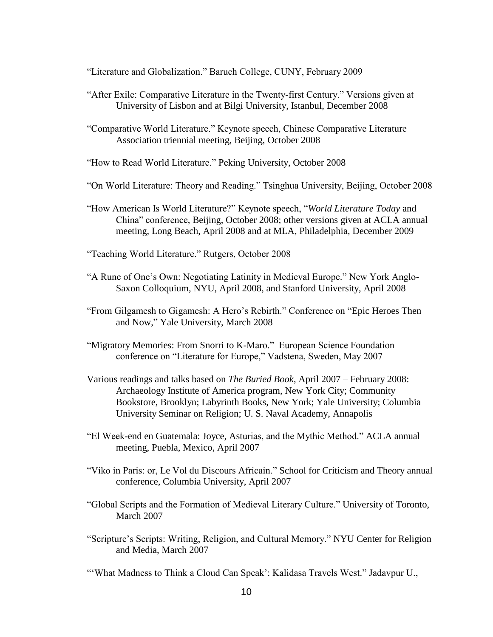"Literature and Globalization." Baruch College, CUNY, February 2009

- "After Exile: Comparative Literature in the Twenty-first Century." Versions given at University of Lisbon and at Bilgi University, Istanbul, December 2008
- "Comparative World Literature." Keynote speech, Chinese Comparative Literature Association triennial meeting, Beijing, October 2008
- "How to Read World Literature." Peking University, October 2008
- "On World Literature: Theory and Reading." Tsinghua University, Beijing, October 2008
- "How American Is World Literature?" Keynote speech, "*World Literature Today* and China" conference, Beijing, October 2008; other versions given at ACLA annual meeting, Long Beach, April 2008 and at MLA, Philadelphia, December 2009
- "Teaching World Literature." Rutgers, October 2008
- "A Rune of One"s Own: Negotiating Latinity in Medieval Europe." New York Anglo-Saxon Colloquium, NYU, April 2008, and Stanford University, April 2008
- "From Gilgamesh to Gigamesh: A Hero's Rebirth." Conference on "Epic Heroes Then and Now," Yale University, March 2008
- "Migratory Memories: From Snorri to K-Maro." European Science Foundation conference on "Literature for Europe," Vadstena, Sweden, May 2007
- Various readings and talks based on *The Buried Book*, April 2007 February 2008: Archaeology Institute of America program, New York City; Community Bookstore, Brooklyn; Labyrinth Books, New York; Yale University; Columbia University Seminar on Religion; U. S. Naval Academy, Annapolis
- "El Week-end en Guatemala: Joyce, Asturias, and the Mythic Method." ACLA annual meeting, Puebla, Mexico, April 2007
- "Viko in Paris: or, Le Vol du Discours Africain." School for Criticism and Theory annual conference, Columbia University, April 2007
- "Global Scripts and the Formation of Medieval Literary Culture." University of Toronto, March 2007
- "Scripture's Scripts: Writing, Religion, and Cultural Memory." NYU Center for Religion and Media, March 2007
- "What Madness to Think a Cloud Can Speak': Kalidasa Travels West." Jadavpur U.,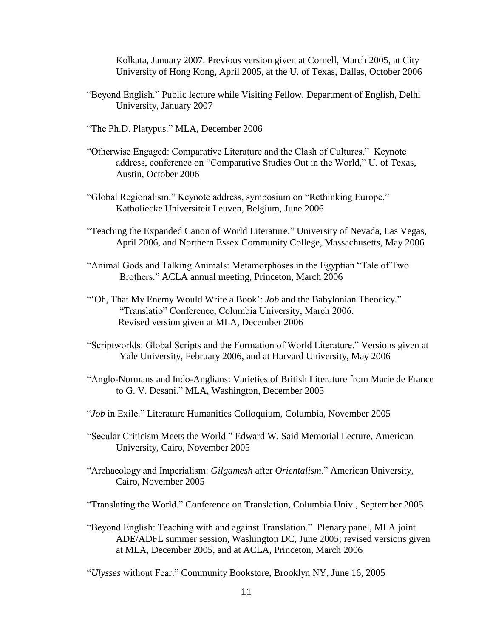Kolkata, January 2007. Previous version given at Cornell, March 2005, at City University of Hong Kong, April 2005, at the U. of Texas, Dallas, October 2006

- "Beyond English." Public lecture while Visiting Fellow, Department of English, Delhi University, January 2007
- "The Ph.D. Platypus." MLA, December 2006
- "Otherwise Engaged: Comparative Literature and the Clash of Cultures." Keynote address, conference on "Comparative Studies Out in the World," U. of Texas, Austin, October 2006
- "Global Regionalism." Keynote address, symposium on "Rethinking Europe," Katholiecke Universiteit Leuven, Belgium, June 2006
- "Teaching the Expanded Canon of World Literature." University of Nevada, Las Vegas, April 2006, and Northern Essex Community College, Massachusetts, May 2006
- "Animal Gods and Talking Animals: Metamorphoses in the Egyptian "Tale of Two Brothers." ACLA annual meeting, Princeton, March 2006
- ""Oh, That My Enemy Would Write a Book": *Job* and the Babylonian Theodicy." "Translatio" Conference, Columbia University, March 2006. Revised version given at MLA, December 2006
- "Scriptworlds: Global Scripts and the Formation of World Literature." Versions given at Yale University, February 2006, and at Harvard University, May 2006
- "Anglo-Normans and Indo-Anglians: Varieties of British Literature from Marie de France to G. V. Desani." MLA, Washington, December 2005
- "*Job* in Exile." Literature Humanities Colloquium, Columbia, November 2005
- "Secular Criticism Meets the World." Edward W. Said Memorial Lecture, American University, Cairo, November 2005
- "Archaeology and Imperialism: *Gilgamesh* after *Orientalism*." American University, Cairo, November 2005
- "Translating the World." Conference on Translation, Columbia Univ., September 2005
- "Beyond English: Teaching with and against Translation." Plenary panel, MLA joint ADE/ADFL summer session, Washington DC, June 2005; revised versions given at MLA, December 2005, and at ACLA, Princeton, March 2006

"*Ulysses* without Fear." Community Bookstore, Brooklyn NY, June 16, 2005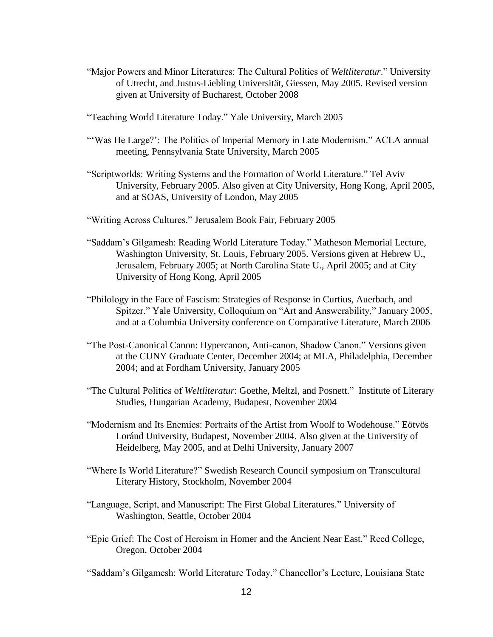- "Major Powers and Minor Literatures: The Cultural Politics of *Weltliteratur*." University of Utrecht, and Justus-Liebling Universität, Giessen, May 2005. Revised version given at University of Bucharest, October 2008
- "Teaching World Literature Today." Yale University, March 2005
- "'Was He Large?': The Politics of Imperial Memory in Late Modernism." ACLA annual meeting, Pennsylvania State University, March 2005
- "Scriptworlds: Writing Systems and the Formation of World Literature." Tel Aviv University, February 2005. Also given at City University, Hong Kong, April 2005, and at SOAS, University of London, May 2005
- "Writing Across Cultures." Jerusalem Book Fair, February 2005
- "Saddam"s Gilgamesh: Reading World Literature Today." Matheson Memorial Lecture, Washington University, St. Louis, February 2005. Versions given at Hebrew U., Jerusalem, February 2005; at North Carolina State U., April 2005; and at City University of Hong Kong, April 2005
- "Philology in the Face of Fascism: Strategies of Response in Curtius, Auerbach, and Spitzer." Yale University, Colloquium on "Art and Answerability," January 2005, and at a Columbia University conference on Comparative Literature, March 2006
- "The Post-Canonical Canon: Hypercanon, Anti-canon, Shadow Canon." Versions given at the CUNY Graduate Center, December 2004; at MLA, Philadelphia, December 2004; and at Fordham University, January 2005
- "The Cultural Politics of *Weltliteratur*: Goethe, Meltzl, and Posnett." Institute of Literary Studies, Hungarian Academy, Budapest, November 2004
- "Modernism and Its Enemies: Portraits of the Artist from Woolf to Wodehouse." Eötvös Loránd University, Budapest, November 2004. Also given at the University of Heidelberg, May 2005, and at Delhi University, January 2007
- "Where Is World Literature?" Swedish Research Council symposium on Transcultural Literary History, Stockholm, November 2004
- "Language, Script, and Manuscript: The First Global Literatures." University of Washington, Seattle, October 2004
- "Epic Grief: The Cost of Heroism in Homer and the Ancient Near East." Reed College, Oregon, October 2004
- "Saddam"s Gilgamesh: World Literature Today." Chancellor"s Lecture, Louisiana State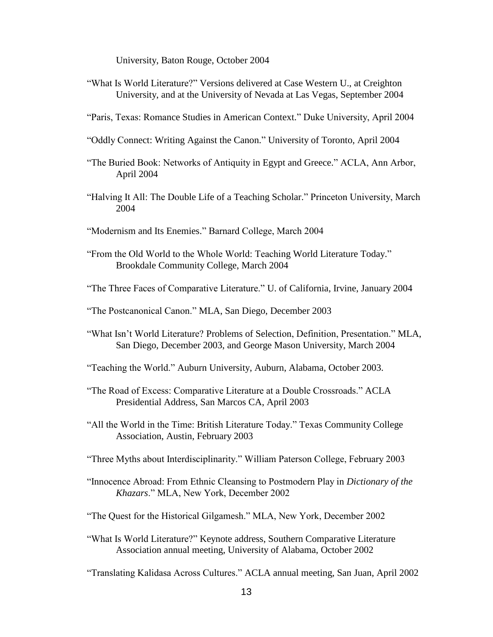University, Baton Rouge, October 2004

- "What Is World Literature?" Versions delivered at Case Western U., at Creighton University, and at the University of Nevada at Las Vegas, September 2004
- "Paris, Texas: Romance Studies in American Context." Duke University, April 2004
- "Oddly Connect: Writing Against the Canon." University of Toronto, April 2004
- "The Buried Book: Networks of Antiquity in Egypt and Greece." ACLA, Ann Arbor, April 2004
- "Halving It All: The Double Life of a Teaching Scholar." Princeton University, March 2004
- "Modernism and Its Enemies." Barnard College, March 2004
- "From the Old World to the Whole World: Teaching World Literature Today." Brookdale Community College, March 2004
- "The Three Faces of Comparative Literature." U. of California, Irvine, January 2004
- "The Postcanonical Canon." MLA, San Diego, December 2003
- "What Isn"t World Literature? Problems of Selection, Definition, Presentation." MLA, San Diego, December 2003, and George Mason University, March 2004
- "Teaching the World." Auburn University, Auburn, Alabama, October 2003.
- "The Road of Excess: Comparative Literature at a Double Crossroads." ACLA Presidential Address, San Marcos CA, April 2003
- "All the World in the Time: British Literature Today." Texas Community College Association, Austin, February 2003
- "Three Myths about Interdisciplinarity." William Paterson College, February 2003
- "Innocence Abroad: From Ethnic Cleansing to Postmodern Play in *Dictionary of the Khazars*." MLA, New York, December 2002
- "The Quest for the Historical Gilgamesh." MLA, New York, December 2002
- "What Is World Literature?" Keynote address, Southern Comparative Literature Association annual meeting, University of Alabama, October 2002
- "Translating Kalidasa Across Cultures." ACLA annual meeting, San Juan, April 2002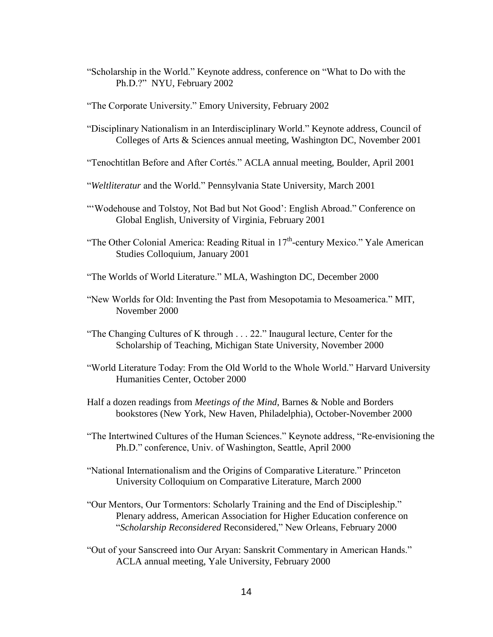"Scholarship in the World." Keynote address, conference on "What to Do with the Ph.D.?" NYU, February 2002

"The Corporate University." Emory University, February 2002

"Disciplinary Nationalism in an Interdisciplinary World." Keynote address, Council of Colleges of Arts & Sciences annual meeting, Washington DC, November 2001

"Tenochtitlan Before and After Cortés." ACLA annual meeting, Boulder, April 2001

- "*Weltliteratur* and the World." Pennsylvania State University, March 2001
- "'Wodehouse and Tolstoy, Not Bad but Not Good': English Abroad." Conference on Global English, University of Virginia, February 2001
- "The Other Colonial America: Reading Ritual in 17<sup>th</sup>-century Mexico." Yale American Studies Colloquium, January 2001
- "The Worlds of World Literature." MLA, Washington DC, December 2000
- "New Worlds for Old: Inventing the Past from Mesopotamia to Mesoamerica." MIT, November 2000
- "The Changing Cultures of K through . . . 22." Inaugural lecture, Center for the Scholarship of Teaching, Michigan State University, November 2000
- "World Literature Today: From the Old World to the Whole World." Harvard University Humanities Center, October 2000
- Half a dozen readings from *Meetings of the Mind*, Barnes & Noble and Borders bookstores (New York, New Haven, Philadelphia), October-November 2000
- "The Intertwined Cultures of the Human Sciences." Keynote address, "Re-envisioning the Ph.D." conference, Univ. of Washington, Seattle, April 2000
- "National Internationalism and the Origins of Comparative Literature." Princeton University Colloquium on Comparative Literature, March 2000
- "Our Mentors, Our Tormentors: Scholarly Training and the End of Discipleship." Plenary address, American Association for Higher Education conference on "*Scholarship Reconsidered* Reconsidered," New Orleans, February 2000
- "Out of your Sanscreed into Our Aryan: Sanskrit Commentary in American Hands." ACLA annual meeting, Yale University, February 2000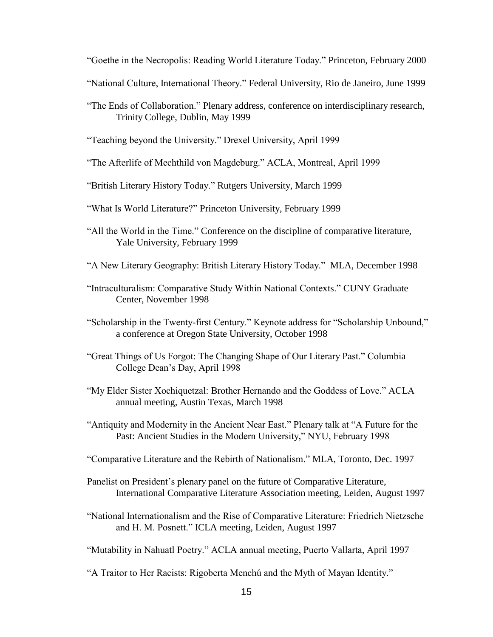"Goethe in the Necropolis: Reading World Literature Today." Princeton, February 2000

- "National Culture, International Theory." Federal University, Rio de Janeiro, June 1999
- "The Ends of Collaboration." Plenary address, conference on interdisciplinary research, Trinity College, Dublin, May 1999
- "Teaching beyond the University." Drexel University, April 1999
- "The Afterlife of Mechthild von Magdeburg." ACLA, Montreal, April 1999
- "British Literary History Today." Rutgers University, March 1999
- "What Is World Literature?" Princeton University, February 1999
- "All the World in the Time." Conference on the discipline of comparative literature, Yale University, February 1999
- "A New Literary Geography: British Literary History Today." MLA, December 1998
- "Intraculturalism: Comparative Study Within National Contexts." CUNY Graduate Center, November 1998
- "Scholarship in the Twenty-first Century." Keynote address for "Scholarship Unbound," a conference at Oregon State University, October 1998
- "Great Things of Us Forgot: The Changing Shape of Our Literary Past." Columbia College Dean"s Day, April 1998
- "My Elder Sister Xochiquetzal: Brother Hernando and the Goddess of Love." ACLA annual meeting, Austin Texas, March 1998
- "Antiquity and Modernity in the Ancient Near East." Plenary talk at "A Future for the Past: Ancient Studies in the Modern University," NYU, February 1998
- "Comparative Literature and the Rebirth of Nationalism." MLA, Toronto, Dec. 1997
- Panelist on President's plenary panel on the future of Comparative Literature, International Comparative Literature Association meeting, Leiden, August 1997
- "National Internationalism and the Rise of Comparative Literature: Friedrich Nietzsche and H. M. Posnett." ICLA meeting, Leiden, August 1997
- "Mutability in Nahuatl Poetry." ACLA annual meeting, Puerto Vallarta, April 1997
- "A Traitor to Her Racists: Rigoberta Menchú and the Myth of Mayan Identity."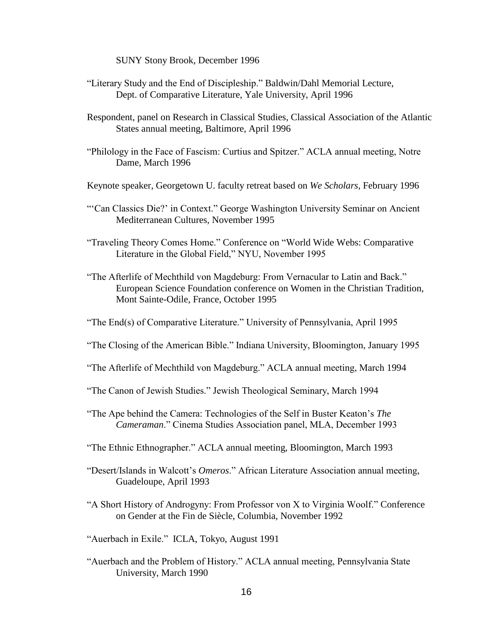SUNY Stony Brook, December 1996

- "Literary Study and the End of Discipleship." Baldwin/Dahl Memorial Lecture, Dept. of Comparative Literature, Yale University, April 1996
- Respondent, panel on Research in Classical Studies, Classical Association of the Atlantic States annual meeting, Baltimore, April 1996
- "Philology in the Face of Fascism: Curtius and Spitzer." ACLA annual meeting, Notre Dame, March 1996
- Keynote speaker, Georgetown U. faculty retreat based on *We Scholars*, February 1996
- ""Can Classics Die?" in Context." George Washington University Seminar on Ancient Mediterranean Cultures, November 1995
- "Traveling Theory Comes Home." Conference on "World Wide Webs: Comparative Literature in the Global Field," NYU, November 1995
- "The Afterlife of Mechthild von Magdeburg: From Vernacular to Latin and Back." European Science Foundation conference on Women in the Christian Tradition, Mont Sainte-Odile, France, October 1995

"The End(s) of Comparative Literature." University of Pennsylvania, April 1995

- "The Closing of the American Bible." Indiana University, Bloomington, January 1995
- "The Afterlife of Mechthild von Magdeburg." ACLA annual meeting, March 1994
- "The Canon of Jewish Studies." Jewish Theological Seminary, March 1994
- "The Ape behind the Camera: Technologies of the Self in Buster Keaton"s *The Cameraman*." Cinema Studies Association panel, MLA, December 1993
- "The Ethnic Ethnographer." ACLA annual meeting, Bloomington, March 1993
- "Desert/Islands in Walcott"s *Omeros*." African Literature Association annual meeting, Guadeloupe, April 1993
- "A Short History of Androgyny: From Professor von X to Virginia Woolf." Conference on Gender at the Fin de Siècle, Columbia, November 1992

"Auerbach in Exile." ICLA, Tokyo, August 1991

"Auerbach and the Problem of History." ACLA annual meeting, Pennsylvania State University, March 1990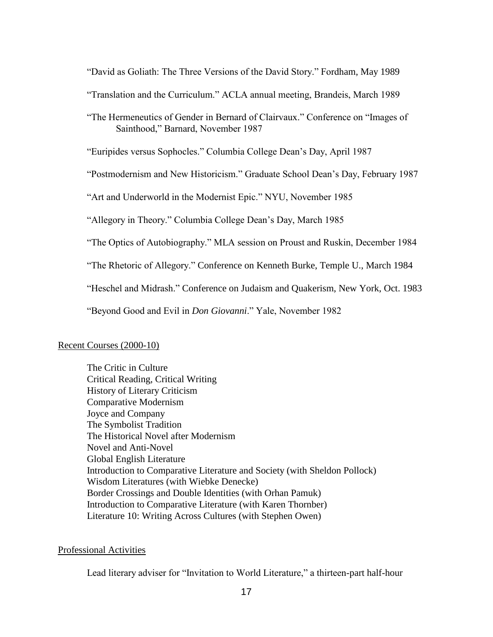"David as Goliath: The Three Versions of the David Story." Fordham, May 1989

"Translation and the Curriculum." ACLA annual meeting, Brandeis, March 1989

"The Hermeneutics of Gender in Bernard of Clairvaux." Conference on "Images of Sainthood," Barnard, November 1987

"Euripides versus Sophocles." Columbia College Dean"s Day, April 1987

"Postmodernism and New Historicism." Graduate School Dean"s Day, February 1987

"Art and Underworld in the Modernist Epic." NYU, November 1985

"Allegory in Theory." Columbia College Dean"s Day, March 1985

"The Optics of Autobiography." MLA session on Proust and Ruskin, December 1984

"The Rhetoric of Allegory." Conference on Kenneth Burke, Temple U., March 1984

"Heschel and Midrash." Conference on Judaism and Quakerism, New York, Oct. 1983

"Beyond Good and Evil in *Don Giovanni*." Yale, November 1982

## Recent Courses (2000-10)

The Critic in Culture Critical Reading, Critical Writing History of Literary Criticism Comparative Modernism Joyce and Company The Symbolist Tradition The Historical Novel after Modernism Novel and Anti-Novel Global English Literature Introduction to Comparative Literature and Society (with Sheldon Pollock) Wisdom Literatures (with Wiebke Denecke) Border Crossings and Double Identities (with Orhan Pamuk) Introduction to Comparative Literature (with Karen Thornber) Literature 10: Writing Across Cultures (with Stephen Owen)

## Professional Activities

Lead literary adviser for "Invitation to World Literature," a thirteen-part half-hour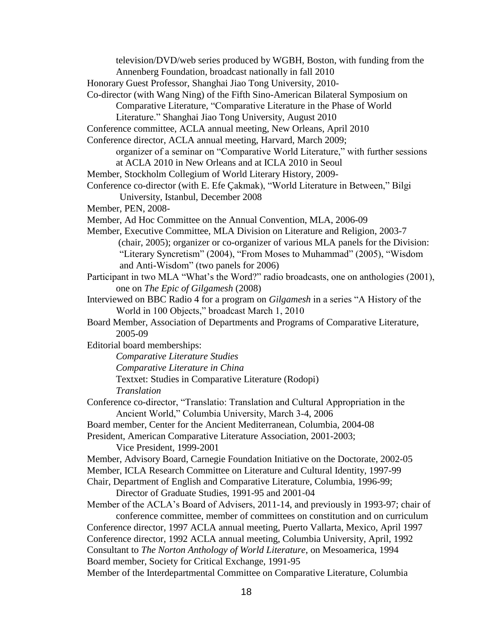television/DVD/web series produced by WGBH, Boston, with funding from the

Annenberg Foundation, broadcast nationally in fall 2010

Honorary Guest Professor, Shanghai Jiao Tong University, 2010-

Co-director (with Wang Ning) of the Fifth Sino-American Bilateral Symposium on Comparative Literature, "Comparative Literature in the Phase of World

- Literature." Shanghai Jiao Tong University, August 2010
- Conference committee, ACLA annual meeting, New Orleans, April 2010
- Conference director, ACLA annual meeting, Harvard, March 2009;
	- organizer of a seminar on "Comparative World Literature," with further sessions at ACLA 2010 in New Orleans and at ICLA 2010 in Seoul
- Member, Stockholm Collegium of World Literary History, 2009-
- Conference co-director (with E. Efe Çakmak), "World Literature in Between," Bilgi University, Istanbul, December 2008
- Member, PEN, 2008-
- Member, Ad Hoc Committee on the Annual Convention, MLA, 2006-09
- Member, Executive Committee, MLA Division on Literature and Religion, 2003-7 (chair, 2005); organizer or co-organizer of various MLA panels for the Division: "Literary Syncretism" (2004), "From Moses to Muhammad" (2005), "Wisdom and Anti-Wisdom" (two panels for 2006)
- Participant in two MLA "What's the Word?" radio broadcasts, one on anthologies (2001), one on *The Epic of Gilgamesh* (2008)
- Interviewed on BBC Radio 4 for a program on *Gilgamesh* in a series "A History of the World in 100 Objects," broadcast March 1, 2010
- Board Member, Association of Departments and Programs of Comparative Literature, 2005-09
- Editorial board memberships:
	- *Comparative Literature Studies*
	- *Comparative Literature in China*
	- Textxet: Studies in Comparative Literature (Rodopi)

*Translation*

- Conference co-director, "Translatio: Translation and Cultural Appropriation in the Ancient World," Columbia University, March 3-4, 2006
- Board member, Center for the Ancient Mediterranean, Columbia, 2004-08

President, American Comparative Literature Association, 2001-2003; Vice President, 1999-2001

Member, Advisory Board, Carnegie Foundation Initiative on the Doctorate, 2002-05 Member, ICLA Research Committee on Literature and Cultural Identity, 1997-99

Chair, Department of English and Comparative Literature, Columbia, 1996-99;

Director of Graduate Studies, 1991-95 and 2001-04

Member of the ACLA"s Board of Advisers, 2011-14, and previously in 1993-97; chair of conference committee, member of committees on constitution and on curriculum Conference director, 1997 ACLA annual meeting, Puerto Vallarta, Mexico, April 1997

Conference director, 1992 ACLA annual meeting, Columbia University, April, 1992

Consultant to *The Norton Anthology of World Literature*, on Mesoamerica, 1994 Board member, Society for Critical Exchange, 1991-95

Member of the Interdepartmental Committee on Comparative Literature, Columbia